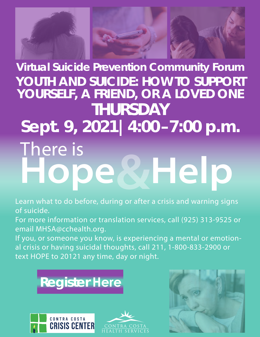

**WHelp** There is **Virtual Suicide Prevention Community Forum YOUTH AND SUICIDE: HOW TO SUPPORT YOURSELF, A FRIEND, OR A LOVED ONE THURSDAY Sept. 9, 2021|4:00–7:00 p.m.**

Learn what to do before, during or after a crisis and warning signs of suicide.

For more information or translation services, call (925) 313-9525 or email MHSA@cchealth.org.

If you, or someone you know, is experiencing a mental or emotional crisis or having suicidal thoughts, call 211, 1-800-833-2900 or text HOPE to 20121 any time, day or night.







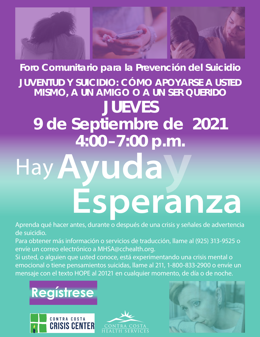

## **Foro Comunitario para la Prevención del Suicidio JUVENTUD Y SUICIDIO: CÓMO APOYARSE A USTED MISMO, A UN AMIGO O A UN SER QUERIDO JUEVES 9 de Septiembre de 2021 4:00–7:00 p.m.**

# Ayuda Esperanza 4:00-7:00 p.m.

Aprenda qué hacer antes, durante o después de una crisis y señales de advertencia de suicidio.

Para obtener más información o servicios de traducción, llame al (925) 313-9525 o envíe un correo electrónico a MHSA@cchealth.org.

Si usted, o alguien que usted conoce, está experimentando una crisis mental o emocional o tiene pensamientos suicidas, llame al 211, 1-800-833-2900 o envíe un mensaje con el texto HOPE al 20121 en cualquier momento, de día o de noche.







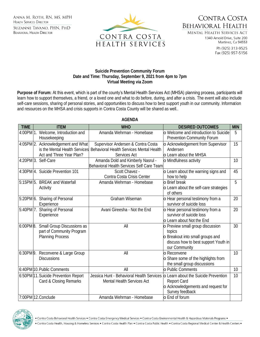ANNA M. ROTH. RN. MS. MPH **HEALTH SERVICES DIRECTOR** SUZANNE TAVANO, PHN, PHD **BEHAVIORAL HEALTH DIRECTOR** 



CONTRA COSTA **BEHAVIORAL HEALTH** 

**MENTAL HEALTH SERVICES ACT** 1340 Arnold Drive, Suite 200 Martinez, Ca 94553

> Ph (925) 313-9525 Fax (925) 957-5156

#### **Suicide Prevention Community Forum Date and Time: Thursday, September 9, 2021 from 4pm to 7pm Virtual Meeting via Zoom**

**Purpose of Forum:** At this event, which is part of the county's Mental Health Services Act (MHSA) planning process, participants will learn how to support themselves, a friend, or a loved one and what to do before, during, and after a crisis. The event will also include self-care sessions, sharing of personal stories, and opportunities to discuss how to best support youth in our community. Information and resources on the MHSA and crisis supports in Contra Costa County will be shared as well..

| <b>TIME</b> | <b>ITEM</b>                                                                                     | <b>WHO</b>                                                                                                   | <b>DESIRED OUTCOMES</b>                                                                                                                      | MIN |
|-------------|-------------------------------------------------------------------------------------------------|--------------------------------------------------------------------------------------------------------------|----------------------------------------------------------------------------------------------------------------------------------------------|-----|
|             | 4:00PM 1. Welcome, Introduction and<br>Housekeeping                                             | Amanda Wehrman - Homebase                                                                                    | o Welcome and introduction to Suicide<br>Prevention Community Forum                                                                          | 5   |
|             | 4:05PM 2. Acknowledgement and What<br>is the Mental Health Services<br>Act and Three Year Plan? | Supervisor Andersen & Contra Costa<br>Behavioral Health Services Mental Health<br>Services Act               | o Acknowledgement from Supervisor<br>Andersen<br><b>o</b> Learn about the MHSA                                                               | 15  |
|             | 4:20PM 3. Self-Care                                                                             | Amanda Dold and Kimberly Nasrul -<br>Behavioral Health Services Self Care Team                               | o Mindfulness activity                                                                                                                       | 10  |
|             | 4:30PM 4. Suicide Prevention 101                                                                | Scott Chavez -<br>Contra Costa Crisis Center                                                                 | o Learn about the warning signs and<br>how to help                                                                                           | 45  |
|             | 5:15PM 5. BREAK and Waterfall<br>Activity                                                       | Amanda Wehrman - Homebase                                                                                    | <b>o</b> Brief break<br>o Learn about the self-care strategies<br>of others                                                                  | 5   |
|             | 5:20PM 6. Sharing of Personal<br>Experience                                                     | Graham Wiseman                                                                                               | o Hear personal testimony from a<br>survivor of suicide loss                                                                                 | 20  |
|             | 5:40PM 7. Sharing of Personal<br>Experience                                                     | Avani Gireesha - Not the End                                                                                 | o Hear personal testimony from a<br>survivor of suicide loss<br>o Learn about Not the End                                                    | 20  |
|             | 6:00PM 8. Small Group Discussions as<br>part of Community Program<br>Planning Process           | All                                                                                                          | o Preview small group discussion<br>topics<br><b>Breakout into small groups and</b><br>discuss how to best support Youth in<br>our Community | 30  |
|             | 6:30PM 9. Reconvene & Large Group<br><b>Discussions</b>                                         | All                                                                                                          | o Reconvene<br>o Share some of the highlights from<br>the small group discussions                                                            | 10  |
|             | 6:40PM 10. Public Comments                                                                      | All                                                                                                          | o Public Comments                                                                                                                            | 10  |
|             | 6:50PM 11. Suicide Prevention Report<br>Card & Closing Remarks                                  | Jessica Hunt - Behavioral Health Services o Learn about the Suicide Prevention<br>Mental Health Services Act | Report Card<br>o Acknowledgements and request for<br>Survey feedback                                                                         | 10  |
|             | 7:00PM 12. Conclude                                                                             | Amanda Wehrman - Homebase                                                                                    | o End of forum                                                                                                                               |     |

### **AGENDA**